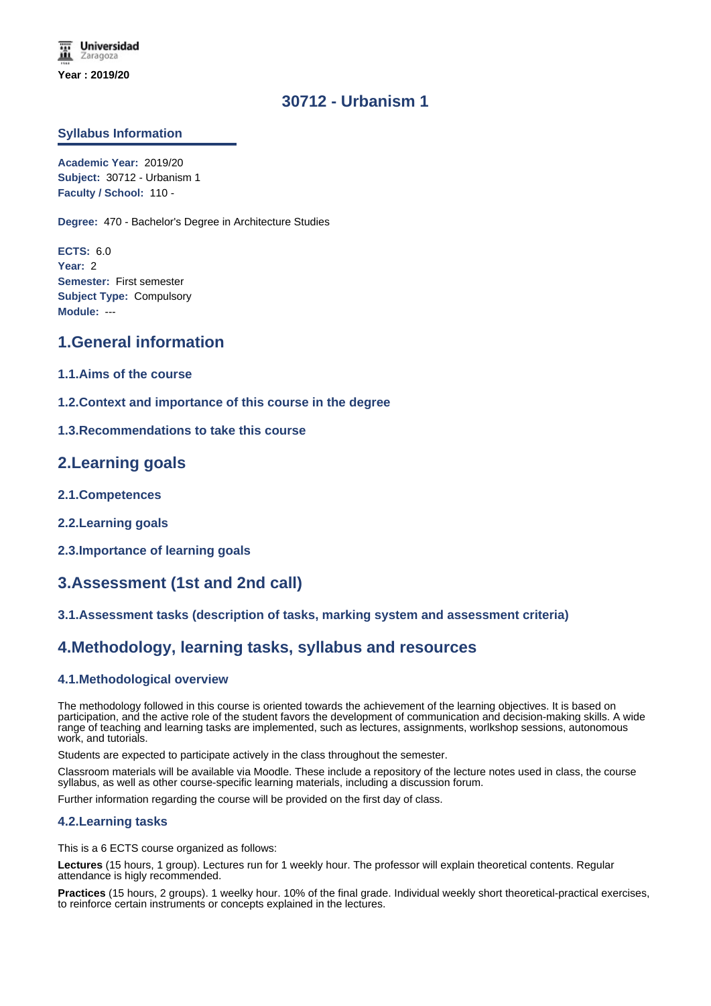# **30712 - Urbanism 1**

### **Syllabus Information**

**Academic Year:** 2019/20 **Subject:** 30712 - Urbanism 1 **Faculty / School:** 110 -

**Degree:** 470 - Bachelor's Degree in Architecture Studies

**ECTS:** 6.0 **Year:** 2 **Semester:** First semester **Subject Type:** Compulsory **Module:** ---

# **1.General information**

- **1.1.Aims of the course**
- **1.2.Context and importance of this course in the degree**
- **1.3.Recommendations to take this course**

## **2.Learning goals**

- **2.1.Competences**
- **2.2.Learning goals**
- **2.3.Importance of learning goals**

# **3.Assessment (1st and 2nd call)**

## **3.1.Assessment tasks (description of tasks, marking system and assessment criteria)**

# **4.Methodology, learning tasks, syllabus and resources**

### **4.1.Methodological overview**

The methodology followed in this course is oriented towards the achievement of the learning objectives. It is based on participation, and the active role of the student favors the development of communication and decision-making skills. A wide range of teaching and learning tasks are implemented, such as lectures, assignments, worlkshop sessions, autonomous work, and tutorials.

Students are expected to participate actively in the class throughout the semester.

Classroom materials will be available via Moodle. These include a repository of the lecture notes used in class, the course syllabus, as well as other course-specific learning materials, including a discussion forum.

Further information regarding the course will be provided on the first day of class.

### **4.2.Learning tasks**

This is a 6 ECTS course organized as follows:

**Lectures** (15 hours, 1 group). Lectures run for 1 weekly hour. The professor will explain theoretical contents. Regular attendance is higly recommended.

**Practices** (15 hours, 2 groups). 1 weelky hour. 10% of the final grade. Individual weekly short theoretical-practical exercises, to reinforce certain instruments or concepts explained in the lectures.